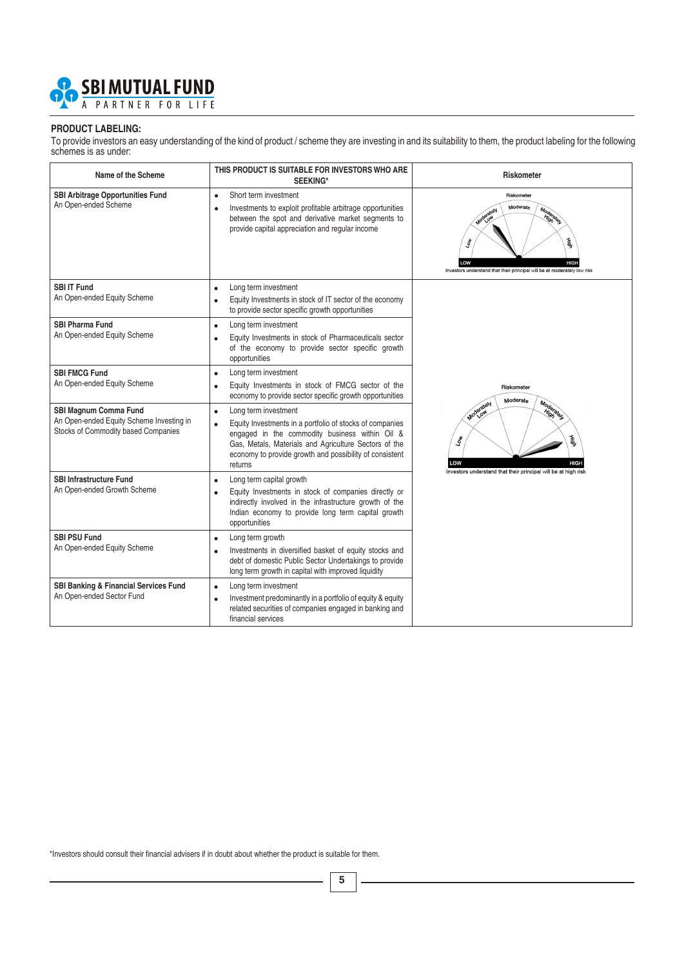

#### **PRODUCT LABELING:**

To provide investors an easy understanding of the kind of product / scheme they are investing in and its suitability to them, the product labeling for the following schemes is as under:

| Name of the Scheme                                                                                              | THIS PRODUCT IS SUITABLE FOR INVESTORS WHO ARE<br><b>SEEKING*</b>                                                                                                                                                                                                              | <b>Riskometer</b>                                                                                                                                                       |
|-----------------------------------------------------------------------------------------------------------------|--------------------------------------------------------------------------------------------------------------------------------------------------------------------------------------------------------------------------------------------------------------------------------|-------------------------------------------------------------------------------------------------------------------------------------------------------------------------|
| <b>SBI Arbitrage Opportunities Fund</b><br>An Open-ended Scheme                                                 | Short term investment<br>$\bullet$<br>Investments to exploit profitable arbitrage opportunities<br>$\bullet$<br>between the spot and derivative market segments to<br>provide capital appreciation and regular income                                                          | Riskometer<br>Moderate<br>Moderately<br>Moderately<br>蓄<br><b>Low</b><br>LOW<br><b>HIGH</b><br>Investors understand that their principal will be at moderately low risk |
| <b>SBI IT Fund</b><br>An Open-ended Equity Scheme                                                               | Long term investment<br>$\bullet$<br>Equity Investments in stock of IT sector of the economy<br>$\bullet$<br>to provide sector specific growth opportunities                                                                                                                   |                                                                                                                                                                         |
| <b>SBI Pharma Fund</b><br>An Open-ended Equity Scheme                                                           | Long term investment<br>$\bullet$<br>Equity Investments in stock of Pharmaceuticals sector<br>$\bullet$<br>of the economy to provide sector specific growth<br>opportunities                                                                                                   |                                                                                                                                                                         |
| <b>SBI FMCG Fund</b><br>An Open-ended Equity Scheme                                                             | Long term investment<br>$\bullet$<br>Equity Investments in stock of FMCG sector of the<br>$\bullet$<br>economy to provide sector specific growth opportunities                                                                                                                 | Riskometer<br>Moderate                                                                                                                                                  |
| <b>SBI Magnum Comma Fund</b><br>An Open-ended Equity Scheme Investing in<br>Stocks of Commodity based Companies | Long term investment<br>$\bullet$<br>Equity Investments in a portfolio of stocks of companies<br>engaged in the commodity business within Oil &<br>Gas, Metals, Materials and Agriculture Sectors of the<br>economy to provide growth and possibility of consistent<br>returns | Moderately<br>Moderately<br>蓄<br>$\tau_{\rm o}$<br>LOW<br><b>HIGH</b><br>Investors understand that their principal will be at high risk                                 |
| <b>SBI Infrastructure Fund</b><br>An Open-ended Growth Scheme                                                   | Long term capital growth<br>Equity Investments in stock of companies directly or<br>indirectly involved in the infrastructure growth of the<br>Indian economy to provide long term capital growth<br>opportunities                                                             |                                                                                                                                                                         |
| <b>SBI PSU Fund</b><br>An Open-ended Equity Scheme                                                              | Long term growth<br>$\bullet$<br>Investments in diversified basket of equity stocks and<br>$\bullet$<br>debt of domestic Public Sector Undertakings to provide<br>long term growth in capital with improved liquidity                                                          |                                                                                                                                                                         |
| SBI Banking & Financial Services Fund<br>An Open-ended Sector Fund                                              | Long term investment<br>$\bullet$<br>Investment predominantly in a portfolio of equity & equity<br>$\bullet$<br>related securities of companies engaged in banking and<br>financial services                                                                                   |                                                                                                                                                                         |

\*Investors should consult their financial advisers if in doubt about whether the product is suitable for them.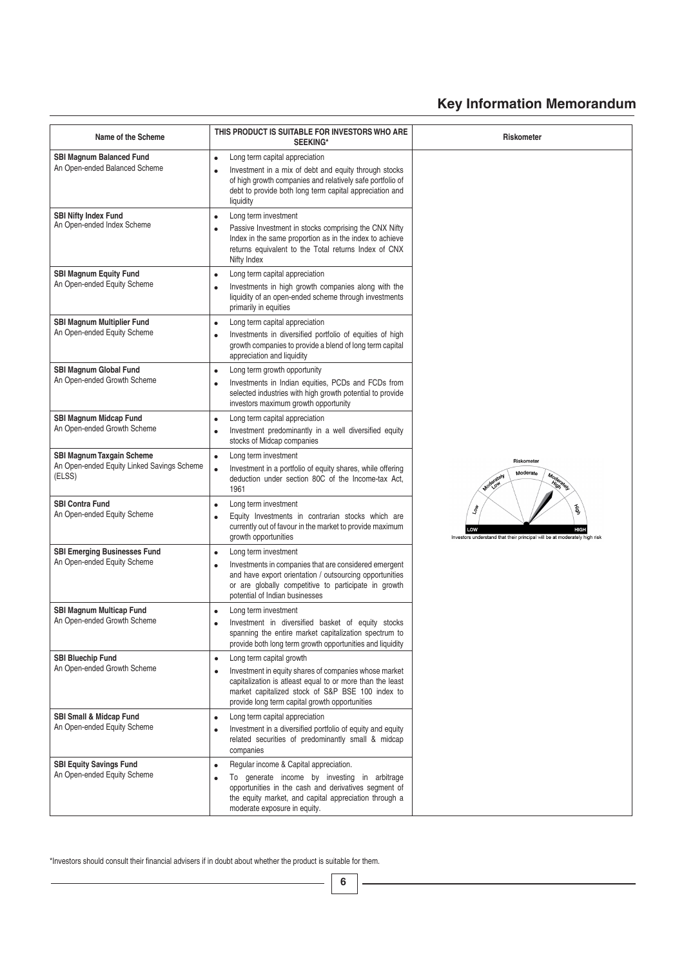## **Key Information Memorandum**

| Name of the Scheme                                                                       | THIS PRODUCT IS SUITABLE FOR INVESTORS WHO ARE<br><b>SEEKING*</b>                                                                                                                                                                                                              | Riskometer                                                                                                               |
|------------------------------------------------------------------------------------------|--------------------------------------------------------------------------------------------------------------------------------------------------------------------------------------------------------------------------------------------------------------------------------|--------------------------------------------------------------------------------------------------------------------------|
| <b>SBI Magnum Balanced Fund</b><br>An Open-ended Balanced Scheme                         | Long term capital appreciation<br>$\bullet$<br>Investment in a mix of debt and equity through stocks<br>$\bullet$<br>of high growth companies and relatively safe portfolio of<br>debt to provide both long term capital appreciation and<br>liquidity                         |                                                                                                                          |
| <b>SBI Nifty Index Fund</b><br>An Open-ended Index Scheme                                | Long term investment<br>$\bullet$<br>Passive Investment in stocks comprising the CNX Nifty<br>$\bullet$<br>Index in the same proportion as in the index to achieve<br>returns equivalent to the Total returns Index of CNX<br>Nifty Index                                      |                                                                                                                          |
| <b>SBI Magnum Equity Fund</b><br>An Open-ended Equity Scheme                             | Long term capital appreciation<br>$\bullet$<br>Investments in high growth companies along with the<br>$\bullet$<br>liquidity of an open-ended scheme through investments<br>primarily in equities                                                                              |                                                                                                                          |
| <b>SBI Magnum Multiplier Fund</b><br>An Open-ended Equity Scheme                         | Long term capital appreciation<br>$\bullet$<br>Investments in diversified portfolio of equities of high<br>$\bullet$<br>growth companies to provide a blend of long term capital<br>appreciation and liquidity                                                                 |                                                                                                                          |
| <b>SBI Magnum Global Fund</b><br>An Open-ended Growth Scheme                             | Long term growth opportunity<br>$\bullet$<br>Investments in Indian equities, PCDs and FCDs from<br>$\bullet$<br>selected industries with high growth potential to provide<br>investors maximum growth opportunity                                                              |                                                                                                                          |
| <b>SBI Magnum Midcap Fund</b><br>An Open-ended Growth Scheme                             | Long term capital appreciation<br>$\bullet$<br>Investment predominantly in a well diversified equity<br>$\bullet$<br>stocks of Midcap companies                                                                                                                                |                                                                                                                          |
| <b>SBI Magnum Taxgain Scheme</b><br>An Open-ended Equity Linked Savings Scheme<br>(ELSS) | Long term investment<br>$\bullet$<br>Investment in a portfolio of equity shares, while offering<br>$\bullet$<br>deduction under section 80C of the Income-tax Act,<br>1961                                                                                                     | Riskometer<br>Moderate<br>Moderately<br>Moderately                                                                       |
| <b>SBI Contra Fund</b><br>An Open-ended Equity Scheme                                    | Long term investment<br>$\bullet$<br>Equity Investments in contrarian stocks which are<br>$\bullet$<br>currently out of favour in the market to provide maximum<br>growth opportunities                                                                                        | 蓄<br>$\tau_{\rm opt}$<br><b>HIGH</b><br>LOW<br>Investors understand that their principal will be at moderately high risk |
| <b>SBI Emerging Businesses Fund</b><br>An Open-ended Equity Scheme                       | Long term investment<br>$\bullet$<br>Investments in companies that are considered emergent<br>$\bullet$<br>and have export orientation / outsourcing opportunities<br>or are globally competitive to participate in growth<br>potential of Indian businesses                   |                                                                                                                          |
| <b>SBI Magnum Multicap Fund</b><br>An Open-ended Growth Scheme                           | Long term investment<br>٠<br>Investment in diversified basket of equity stocks<br>$\bullet$<br>spanning the entire market capitalization spectrum to<br>provide both long term growth opportunities and liquidity                                                              |                                                                                                                          |
| <b>SBI Bluechip Fund</b><br>An Open-ended Growth Scheme                                  | Long term capital growth<br>$\bullet$<br>Investment in equity shares of companies whose market<br>$\bullet$<br>capitalization is atleast equal to or more than the least<br>market capitalized stock of S&P BSE 100 index to<br>provide long term capital growth opportunities |                                                                                                                          |
| <b>SBI Small &amp; Midcap Fund</b><br>An Open-ended Equity Scheme                        | Long term capital appreciation<br>$\bullet$<br>Investment in a diversified portfolio of equity and equity<br>$\bullet$<br>related securities of predominantly small & midcap<br>companies                                                                                      |                                                                                                                          |
| <b>SBI Equity Savings Fund</b><br>An Open-ended Equity Scheme                            | Regular income & Capital appreciation.<br>$\bullet$<br>To generate income by investing in arbitrage<br>$\bullet$<br>opportunities in the cash and derivatives segment of<br>the equity market, and capital appreciation through a<br>moderate exposure in equity.              |                                                                                                                          |

\*Investors should consult their financial advisers if in doubt about whether the product is suitable for them.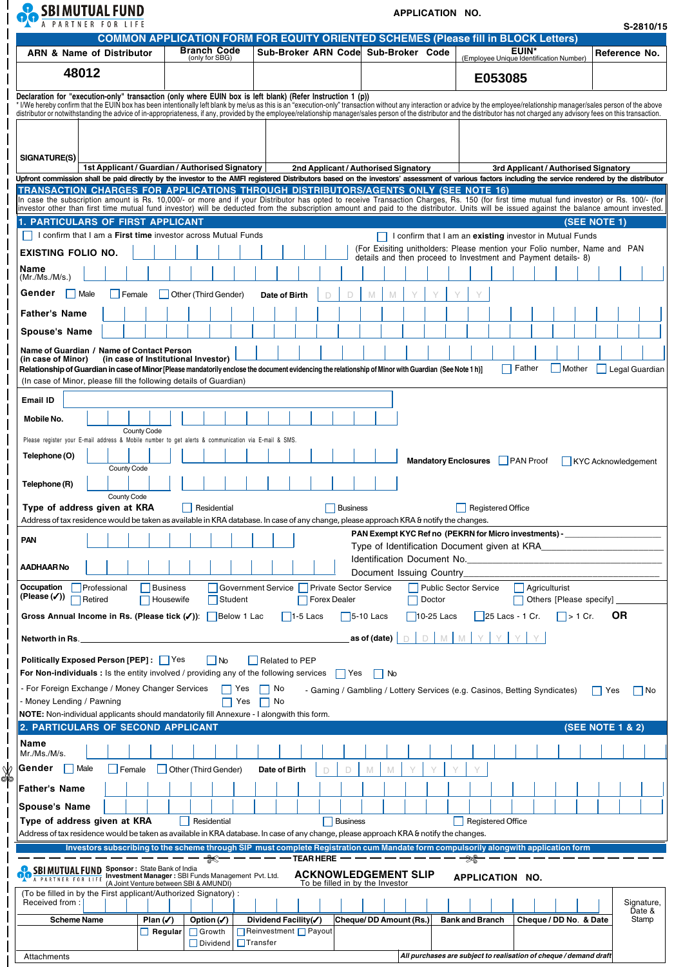| <b>OC SBIMUTUAL FUND</b> |                                                                                           | APPLICATION NO. |
|--------------------------|-------------------------------------------------------------------------------------------|-----------------|
|                          | <b>COMMON APPLICATION FORM FOR EQUITY ORIENTED SCHEMES (Please fill in BLOCK Letters)</b> |                 |

 $\perp$ 

 $\overline{\phantom{a}}$  $\overline{\phantom{a}}$  $\overline{\phantom{a}}$  $\overline{\phantom{a}}$  $\overline{\phantom{a}}$ 

 $\overline{\phantom{a}}$  $\overline{\phantom{a}}$  $\perp$  $\overline{\phantom{a}}$  $\overline{\phantom{a}}$  $\overline{\phantom{a}}$  $\overline{\phantom{a}}$  $\vert$  $\overline{\phantom{a}}$  $\overline{\phantom{a}}$  $\mathbf{I}$  $\overline{\phantom{a}}$  $\vert$  $\overline{\phantom{a}}$  $\overline{\phantom{a}}$  $\overline{\phantom{a}}$  $\overline{\phantom{a}}$  $\overline{\phantom{a}}$  $\overline{\phantom{a}}$  $\overline{\phantom{a}}$  $\overline{\phantom{a}}$  $\overline{\phantom{a}}$  $\begin{array}{c} \hline \end{array}$  $\begin{array}{c} \hline \end{array}$  $\overline{\phantom{a}}$  $\overline{\phantom{a}}$  $\overline{\phantom{a}}$  $\overline{\phantom{a}}$  $\overline{\phantom{a}}$  $\overline{\phantom{a}}$  $\overline{\phantom{a}}$  $\begin{array}{c} \hline \end{array}$  $\overline{\phantom{a}}$  $\overline{\phantom{a}}$  $\overline{\phantom{a}}$  $\overline{\phantom{a}}$  $\overline{\phantom{a}}$  $\overline{\phantom{a}}$  $\overline{\phantom{a}}$  $\overline{\phantom{a}}$  $\overline{\phantom{a}}$ Ť  $\mathsf I$ 

✄

 $\overline{\phantom{a}}$  $\overline{\phantom{a}}$  $\begin{array}{c} \hline \end{array}$  $\overline{\phantom{a}}$ Ξ  $\begin{array}{c} \hline \end{array}$ 

 $\overline{\phantom{a}}$  $\overline{\phantom{a}}$  $\overline{\phantom{a}}$  $\overline{1}$  $\mathbf{I}$  $\overline{\phantom{a}}$  $\overline{\phantom{a}}$ 

**S-2810/15**

| <b>ARN &amp; Name of Distributor</b>                                                                                                                                                                                                                                                                                                                                                                                                                                                                                                                                            | <b>Branch Code</b><br>(only for SBG)            | Sub-Broker ARN Code Sub-Broker Code                                |                                              | <b>EUIN*</b><br>(Employee Unique Identification Number)                                                                                | Reference No.               |  |  |  |  |  |  |  |
|---------------------------------------------------------------------------------------------------------------------------------------------------------------------------------------------------------------------------------------------------------------------------------------------------------------------------------------------------------------------------------------------------------------------------------------------------------------------------------------------------------------------------------------------------------------------------------|-------------------------------------------------|--------------------------------------------------------------------|----------------------------------------------|----------------------------------------------------------------------------------------------------------------------------------------|-----------------------------|--|--|--|--|--|--|--|
| 48012                                                                                                                                                                                                                                                                                                                                                                                                                                                                                                                                                                           |                                                 |                                                                    |                                              | E053085                                                                                                                                |                             |  |  |  |  |  |  |  |
| ((p)) Declaration for "execution-only" transaction (only where EUIN box is left blank) (Refer Instruction 1<br>* I/We hereby confirm that the EUIN box has been intentionally left blank by me/us as this is an "execution-only" transaction without any interaction or advice by the employee/relationship manager/sales person of the above<br>distributor or notwithstanding the advice of in-appropriateness, if any, provided by the employee/relationship manager/sales person of the distributor and the distributor has not charged any advisory fees on this transacti |                                                 |                                                                    |                                              |                                                                                                                                        |                             |  |  |  |  |  |  |  |
|                                                                                                                                                                                                                                                                                                                                                                                                                                                                                                                                                                                 |                                                 |                                                                    |                                              |                                                                                                                                        |                             |  |  |  |  |  |  |  |
|                                                                                                                                                                                                                                                                                                                                                                                                                                                                                                                                                                                 |                                                 |                                                                    |                                              |                                                                                                                                        |                             |  |  |  |  |  |  |  |
| SIGNATURE(S)                                                                                                                                                                                                                                                                                                                                                                                                                                                                                                                                                                    |                                                 |                                                                    |                                              |                                                                                                                                        |                             |  |  |  |  |  |  |  |
|                                                                                                                                                                                                                                                                                                                                                                                                                                                                                                                                                                                 | 1st Applicant / Guardian / Authorised Signatory | 2nd Applicant / Authorised Signatory                               |                                              | 3rd Applicant / Authorised Signatory                                                                                                   |                             |  |  |  |  |  |  |  |
| Upfront commission shall be paid directly by the investor to the AMFI registered Distributors based on the investors' assessment of various factors including the service rendered by the distributor<br>TRANSACTION CHARGES FOR APPLICATIONS THROUGH DISTRIBUTORS/AGENTS ONLY (SEE NOTE 16)                                                                                                                                                                                                                                                                                    |                                                 |                                                                    |                                              |                                                                                                                                        |                             |  |  |  |  |  |  |  |
| In case the subscription amount is Rs. 10,000/- or more and if your Distributor has opted to receive Transaction Charges, Rs. 150 (for first time mutual fund investor) or Rs. 100/- (for<br>investor other than first time mutual fund investor) will be deducted from the subscription amount and paid to the distributor. Units will be issued against the balance amount invested.                                                                                                                                                                                          |                                                 |                                                                    |                                              |                                                                                                                                        |                             |  |  |  |  |  |  |  |
| <b>1. PARTICULARS OF FIRST APPLICANT</b>                                                                                                                                                                                                                                                                                                                                                                                                                                                                                                                                        |                                                 |                                                                    |                                              |                                                                                                                                        | (SEE NOTE 1)                |  |  |  |  |  |  |  |
| I confirm that I am a First time investor across Mutual Funds                                                                                                                                                                                                                                                                                                                                                                                                                                                                                                                   |                                                 |                                                                    |                                              | I confirm that I am an existing investor in Mutual Funds<br>(For Exisiting unitholders: Please mention your Folio number, Name and PAN |                             |  |  |  |  |  |  |  |
| <b>EXISTING FOLIO NO.</b>                                                                                                                                                                                                                                                                                                                                                                                                                                                                                                                                                       |                                                 |                                                                    |                                              | details and then proceed to Investment and Payment details-8)                                                                          |                             |  |  |  |  |  |  |  |
| Name<br>(Mr./Ms./M/s.)                                                                                                                                                                                                                                                                                                                                                                                                                                                                                                                                                          |                                                 |                                                                    |                                              |                                                                                                                                        |                             |  |  |  |  |  |  |  |
| Gender<br>  Male<br>Female                                                                                                                                                                                                                                                                                                                                                                                                                                                                                                                                                      | Other (Third Gender)                            | Date of Birth                                                      |                                              |                                                                                                                                        |                             |  |  |  |  |  |  |  |
| <b>Father's Name</b>                                                                                                                                                                                                                                                                                                                                                                                                                                                                                                                                                            |                                                 |                                                                    |                                              |                                                                                                                                        |                             |  |  |  |  |  |  |  |
| <b>Spouse's Name</b>                                                                                                                                                                                                                                                                                                                                                                                                                                                                                                                                                            |                                                 |                                                                    |                                              |                                                                                                                                        |                             |  |  |  |  |  |  |  |
| Name of Guardian / Name of Contact Person                                                                                                                                                                                                                                                                                                                                                                                                                                                                                                                                       |                                                 |                                                                    |                                              |                                                                                                                                        |                             |  |  |  |  |  |  |  |
| (in case of Minor)<br>Relationship of Guardian in case of Minor [Please mandatorily enclose the document evidencing the relationship of Minor with Guardian (See Note 1 h)]                                                                                                                                                                                                                                                                                                                                                                                                     | (in case of Institutional Investor)             |                                                                    |                                              | Father<br>Mother                                                                                                                       | Legal Guardian              |  |  |  |  |  |  |  |
| (In case of Minor, please fill the following details of Guardian)                                                                                                                                                                                                                                                                                                                                                                                                                                                                                                               |                                                 |                                                                    |                                              |                                                                                                                                        |                             |  |  |  |  |  |  |  |
| Email ID                                                                                                                                                                                                                                                                                                                                                                                                                                                                                                                                                                        |                                                 |                                                                    |                                              |                                                                                                                                        |                             |  |  |  |  |  |  |  |
| Mobile No.                                                                                                                                                                                                                                                                                                                                                                                                                                                                                                                                                                      |                                                 |                                                                    |                                              |                                                                                                                                        |                             |  |  |  |  |  |  |  |
| County Code<br>Please register your E-mail address & Mobile number to get alerts & communication via E-mail & SMS.                                                                                                                                                                                                                                                                                                                                                                                                                                                              |                                                 |                                                                    |                                              |                                                                                                                                        |                             |  |  |  |  |  |  |  |
| Telephone (O)                                                                                                                                                                                                                                                                                                                                                                                                                                                                                                                                                                   |                                                 |                                                                    |                                              |                                                                                                                                        |                             |  |  |  |  |  |  |  |
| County Code                                                                                                                                                                                                                                                                                                                                                                                                                                                                                                                                                                     |                                                 |                                                                    | <b>Mandatory Enclosures</b>                  | $\Box$ PAN Proof                                                                                                                       | KYC Acknowledgement         |  |  |  |  |  |  |  |
| Telephone (R)                                                                                                                                                                                                                                                                                                                                                                                                                                                                                                                                                                   |                                                 |                                                                    |                                              |                                                                                                                                        |                             |  |  |  |  |  |  |  |
| County Code<br>Type of address given at KRA                                                                                                                                                                                                                                                                                                                                                                                                                                                                                                                                     | Residential                                     | Business                                                           |                                              | <b>Registered Office</b>                                                                                                               |                             |  |  |  |  |  |  |  |
| Address of tax residence would be taken as available in KRA database. In case of any change, please approach KRA & notify the changes.                                                                                                                                                                                                                                                                                                                                                                                                                                          |                                                 |                                                                    |                                              |                                                                                                                                        |                             |  |  |  |  |  |  |  |
| <b>PAN</b>                                                                                                                                                                                                                                                                                                                                                                                                                                                                                                                                                                      |                                                 |                                                                    | Type of Identification Document given at KRA | PAN Exempt KYC Ref no (PEKRN for Micro investments) -                                                                                  |                             |  |  |  |  |  |  |  |
| AADHAAR No                                                                                                                                                                                                                                                                                                                                                                                                                                                                                                                                                                      |                                                 |                                                                    | Identification Document No.                  |                                                                                                                                        |                             |  |  |  |  |  |  |  |
|                                                                                                                                                                                                                                                                                                                                                                                                                                                                                                                                                                                 |                                                 |                                                                    | Document Issuing Country                     |                                                                                                                                        |                             |  |  |  |  |  |  |  |
| Occupation<br>Professional<br>(Please $(\checkmark)$ )<br>Retired                                                                                                                                                                                                                                                                                                                                                                                                                                                                                                               | <b>Business</b><br>Student<br>Housewife         | Government Service   Private Sector Service<br><b>Forex Dealer</b> | <b>Public Sector Service</b><br>Doctor       | Agriculturist<br>Others [Please specify]                                                                                               |                             |  |  |  |  |  |  |  |
| Gross Annual Income in Rs. (Please tick (√)):                                                                                                                                                                                                                                                                                                                                                                                                                                                                                                                                   | Below 1 Lac                                     | $\vert$ 1-5 Lacs                                                   | $\vert$ 5-10 Lacs<br>$10-25$ Lacs            | $\Box$ > 1 Cr.<br>$25$ Lacs - 1 Cr.                                                                                                    | <b>OR</b>                   |  |  |  |  |  |  |  |
|                                                                                                                                                                                                                                                                                                                                                                                                                                                                                                                                                                                 |                                                 |                                                                    | as of (date)<br>D<br>M                       |                                                                                                                                        |                             |  |  |  |  |  |  |  |
| Networth in Rs._                                                                                                                                                                                                                                                                                                                                                                                                                                                                                                                                                                |                                                 |                                                                    |                                              |                                                                                                                                        |                             |  |  |  |  |  |  |  |
| <b>Politically Exposed Person [PEP]:   Yes</b><br>For Non-individuals: Is the entity involved / providing any of the following services                                                                                                                                                                                                                                                                                                                                                                                                                                         | No                                              | Related to PEP<br>  Yes                                            | $\vert$   No                                 |                                                                                                                                        |                             |  |  |  |  |  |  |  |
| - For Foreign Exchange / Money Changer Services                                                                                                                                                                                                                                                                                                                                                                                                                                                                                                                                 | Yes                                             | No                                                                 |                                              | - Gaming / Gambling / Lottery Services (e.g. Casinos, Betting Syndicates)                                                              | ∣ I Yes<br>  No             |  |  |  |  |  |  |  |
| - Money Lending / Pawning                                                                                                                                                                                                                                                                                                                                                                                                                                                                                                                                                       | Yes                                             | No                                                                 |                                              |                                                                                                                                        |                             |  |  |  |  |  |  |  |
| <b>NOTE:</b> Non-individual applicants should mandatorily fill Annexure - I alongwith this form.<br>2. PARTICULARS OF SECOND APPLICANT                                                                                                                                                                                                                                                                                                                                                                                                                                          |                                                 |                                                                    |                                              |                                                                                                                                        | <b>(SEE NOTE 1 &amp; 2)</b> |  |  |  |  |  |  |  |
| Name                                                                                                                                                                                                                                                                                                                                                                                                                                                                                                                                                                            |                                                 |                                                                    |                                              |                                                                                                                                        |                             |  |  |  |  |  |  |  |
| Mr./Ms./M/s.                                                                                                                                                                                                                                                                                                                                                                                                                                                                                                                                                                    |                                                 |                                                                    |                                              |                                                                                                                                        |                             |  |  |  |  |  |  |  |
| Gender<br>Male<br>Female                                                                                                                                                                                                                                                                                                                                                                                                                                                                                                                                                        | Other (Third Gender)                            | Date of Birth                                                      |                                              |                                                                                                                                        |                             |  |  |  |  |  |  |  |
| <b>Father's Name</b>                                                                                                                                                                                                                                                                                                                                                                                                                                                                                                                                                            |                                                 |                                                                    |                                              |                                                                                                                                        |                             |  |  |  |  |  |  |  |
| <b>Spouse's Name</b>                                                                                                                                                                                                                                                                                                                                                                                                                                                                                                                                                            |                                                 |                                                                    |                                              |                                                                                                                                        |                             |  |  |  |  |  |  |  |
| Type of address given at KRA<br>Address of tax residence would be taken as available in KRA database. In case of any change, please approach KRA & notify the changes.                                                                                                                                                                                                                                                                                                                                                                                                          | Residential                                     | <b>Business</b>                                                    |                                              | <b>Registered Office</b>                                                                                                               |                             |  |  |  |  |  |  |  |
|                                                                                                                                                                                                                                                                                                                                                                                                                                                                                                                                                                                 |                                                 |                                                                    |                                              | Investors subscribing to the scheme through SIP must complete Registration cum Mandate form compulsorily alongwith application form    |                             |  |  |  |  |  |  |  |
| <b>SBI MUTUAL FUND Sponsor:</b> State Bank of India<br>A PARTNER FOR LIFE <b>Investment Manager: SBI</b> Funds Management Pvt. Ltd.<br>(A Joint Venture between SBI & AMUNDI)                                                                                                                                                                                                                                                                                                                                                                                                   |                                                 | <b>TEAR HERE</b>                                                   | <b>ACKNOWLEDGEMENT SLIP</b>                  | ⋙<br>APPLICATION NO.                                                                                                                   |                             |  |  |  |  |  |  |  |
| (To be filled in by the First applicant/Authorized Signatory):<br>Received from:                                                                                                                                                                                                                                                                                                                                                                                                                                                                                                |                                                 | To be filled in by the Investor                                    |                                              |                                                                                                                                        | Signature,                  |  |  |  |  |  |  |  |
| Plan $(\checkmark)$<br><b>Scheme Name</b>                                                                                                                                                                                                                                                                                                                                                                                                                                                                                                                                       | Option $(\checkmark)$                           |                                                                    |                                              |                                                                                                                                        | Date &                      |  |  |  |  |  |  |  |
|                                                                                                                                                                                                                                                                                                                                                                                                                                                                                                                                                                                 |                                                 | Dividend Facility(√)                                               | Cheque/DD Amount (Rs.)                       | <b>Bank and Branch</b><br>Cheque / DD No. & Date                                                                                       | Stamp                       |  |  |  |  |  |  |  |

Attachments *All purchases are subject to realisation of cheque / demand draft*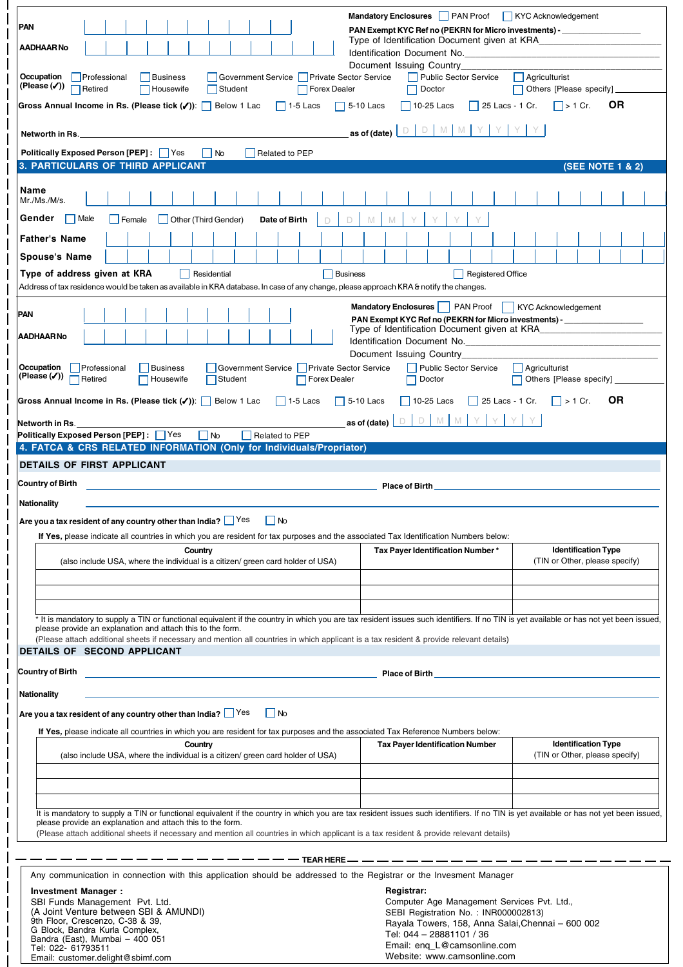|                                                                                                                                                                                                                                                     | Mandatory Enclosures PAN Proof KYC Acknowledgement                            |                                    |
|-----------------------------------------------------------------------------------------------------------------------------------------------------------------------------------------------------------------------------------------------------|-------------------------------------------------------------------------------|------------------------------------|
| <b>PAN</b>                                                                                                                                                                                                                                          |                                                                               |                                    |
|                                                                                                                                                                                                                                                     | PAN Exempt KYC Ref no (PEKRN for Micro investments) -                         |                                    |
| AADHAAR No                                                                                                                                                                                                                                          | Identification Document No.                                                   |                                    |
|                                                                                                                                                                                                                                                     | Document Issuing Country                                                      |                                    |
| Occupation<br>Government Service   Private Sector Service<br>Professional<br>Business                                                                                                                                                               | <b>Public Sector Service</b>                                                  | Agriculturist                      |
| (Please $(\checkmark)$ )<br>Retired<br>Forex Dealer<br>Housewife<br>Student                                                                                                                                                                         | Doctor                                                                        | Others [Please specify]            |
| Gross Annual Income in Rs. (Please tick (√)):<br>Below 1 Lac<br>$\vert$ 1-5 Lacs<br>$\mathbf{L}$                                                                                                                                                    | 5-10 Lacs<br>$\vert$ 10-25 Lacs<br>$\vert$ 25 Lacs - 1 Cr.                    | ΟR<br>$\vert \ \vert$ > 1 Cr.      |
|                                                                                                                                                                                                                                                     |                                                                               |                                    |
| <b>Networth in Rs.</b> The contract of the contract of the contract of the contract of the contract of the contract of the contract of the contract of the contract of the contract of the contract of the contract of the contract                 | D M M Y Y<br>$\Box$<br>as of (date) $\vert$                                   |                                    |
| <b>Politically Exposed Person [PEP]:   Yes</b><br>$\overline{\phantom{a}}$ No<br>Related to PEP                                                                                                                                                     |                                                                               |                                    |
| <b>3. PARTICULARS OF THIRD APPLICANT</b>                                                                                                                                                                                                            |                                                                               | <b>(SEE NOTE 1 &amp; 2)</b>        |
|                                                                                                                                                                                                                                                     |                                                                               |                                    |
| Name                                                                                                                                                                                                                                                |                                                                               |                                    |
| Mr./Ms./M/s.                                                                                                                                                                                                                                        |                                                                               |                                    |
| Gender<br>  Male<br>Other (Third Gender)<br>Female<br>Date of Birth<br>D                                                                                                                                                                            | M                                                                             |                                    |
| <b>Father's Name</b>                                                                                                                                                                                                                                |                                                                               |                                    |
|                                                                                                                                                                                                                                                     |                                                                               |                                    |
| <b>Spouse's Name</b>                                                                                                                                                                                                                                |                                                                               |                                    |
| Type of address given at KRA<br>Residential<br><b>Business</b>                                                                                                                                                                                      | Registered Office                                                             |                                    |
| Address of tax residence would be taken as available in KRA database. In case of any change, please approach KRA & notify the changes.                                                                                                              |                                                                               |                                    |
|                                                                                                                                                                                                                                                     | Mandatory Enclosures     PAN Proof                                            | KYC Acknowledgement                |
| PAN                                                                                                                                                                                                                                                 | PAN Exempt KYC Ref no (PEKRN for Micro investments) -                         |                                    |
| AADHAAR No                                                                                                                                                                                                                                          | Type of Identification Document given at KRA<br>Identification Document No.   |                                    |
|                                                                                                                                                                                                                                                     | Document Issuing Country                                                      |                                    |
| Occupation<br>Government Service   Private Sector Service<br>Professional<br>Business                                                                                                                                                               | Public Sector Service                                                         | Agriculturist                      |
| (Please $(\checkmark)$ )<br>Retired<br>Housewife<br>Student<br><b>Forex Dealer</b>                                                                                                                                                                  | Doctor                                                                        | Others [Please specify]            |
|                                                                                                                                                                                                                                                     |                                                                               |                                    |
| Gross Annual Income in Rs. (Please tick (/)): Below 1 Lac<br>$\Box$ 1-5 Lacs<br>$\Box$ 5-10 Lacs                                                                                                                                                    | $\vert$ 10-25 Lacs<br>  25 Lacs - 1 Cr.                                       | <b>OR</b><br>$\vert \vert$ > 1 Cr. |
| Networth in Rs.                                                                                                                                                                                                                                     | $D$ M M<br>Y<br>D<br>as of (date)                                             |                                    |
| <b>Politically Exposed Person [PEP]:</b> Yes<br>l INo<br>Related to PEP                                                                                                                                                                             |                                                                               |                                    |
| 4. FATCA & CRS RELATED INFORMATION (Only for Individuals/Propriator)                                                                                                                                                                                |                                                                               |                                    |
| <b>DETAILS OF FIRST APPLICANT</b>                                                                                                                                                                                                                   |                                                                               |                                    |
|                                                                                                                                                                                                                                                     |                                                                               |                                    |
|                                                                                                                                                                                                                                                     |                                                                               |                                    |
| Country of Birth                                                                                                                                                                                                                                    | <b>Place of Birth Place of Birth Alberta Community Community Community</b>    |                                    |
| <b>Nationality</b>                                                                                                                                                                                                                                  |                                                                               |                                    |
| Are you a tax resident of any country other than India? $\Box$ Yes $\Box$ No                                                                                                                                                                        |                                                                               |                                    |
| If Yes, please indicate all countries in which you are resident for tax purposes and the associated Tax Identification Numbers below:                                                                                                               |                                                                               |                                    |
| Country                                                                                                                                                                                                                                             | Tax Payer Identification Number*                                              | <b>Identification Type</b>         |
| (also include USA, where the individual is a citizen/ green card holder of USA)                                                                                                                                                                     |                                                                               | (TIN or Other, please specify)     |
|                                                                                                                                                                                                                                                     |                                                                               |                                    |
|                                                                                                                                                                                                                                                     |                                                                               |                                    |
|                                                                                                                                                                                                                                                     |                                                                               |                                    |
| * It is mandatory to supply a TIN or functional equivalent if the country in which you are tax resident issues such identifiers. If no TIN is yet available or has not yet been issued,                                                             |                                                                               |                                    |
| please provide an explanation and attach this to the form.                                                                                                                                                                                          |                                                                               |                                    |
| (Please attach additional sheets if necessary and mention all countries in which applicant is a tax resident & provide relevant details)<br>DETAILS OF SECOND APPLICANT                                                                             |                                                                               |                                    |
|                                                                                                                                                                                                                                                     |                                                                               |                                    |
| Country of Birth                                                                                                                                                                                                                                    | Place of Birth <b>Exercise 2018</b>                                           |                                    |
| <b>Nationality</b>                                                                                                                                                                                                                                  |                                                                               |                                    |
|                                                                                                                                                                                                                                                     |                                                                               |                                    |
| Are you a tax resident of any country other than India? $\Box$ Yes<br>$\vert$ No                                                                                                                                                                    |                                                                               |                                    |
| If Yes, please indicate all countries in which you are resident for tax purposes and the associated Tax Reference Numbers below:                                                                                                                    |                                                                               |                                    |
| Country                                                                                                                                                                                                                                             | <b>Tax Payer Identification Number</b>                                        | <b>Identification Type</b>         |
| (also include USA, where the individual is a citizen/ green card holder of USA)                                                                                                                                                                     |                                                                               | (TIN or Other, please specify)     |
|                                                                                                                                                                                                                                                     |                                                                               |                                    |
|                                                                                                                                                                                                                                                     |                                                                               |                                    |
|                                                                                                                                                                                                                                                     |                                                                               |                                    |
| It is mandatory to supply a TIN or functional equivalent if the country in which you are tax resident issues such identifiers. If no TIN is yet available or has not yet been issued,<br>please provide an explanation and attach this to the form. |                                                                               |                                    |
| (Please attach additional sheets if necessary and mention all countries in which applicant is a tax resident & provide relevant details)                                                                                                            |                                                                               |                                    |
|                                                                                                                                                                                                                                                     |                                                                               |                                    |
|                                                                                                                                                                                                                                                     | — TEAR HERE — — — — — — — — — — — — — — — — —                                 |                                    |
| Any communication in connection with this application should be addressed to the Registrar or the Invesment Manager                                                                                                                                 |                                                                               |                                    |
| Investment Manager:                                                                                                                                                                                                                                 | Registrar:                                                                    |                                    |
| SBI Funds Management Pvt. Ltd.                                                                                                                                                                                                                      | Computer Age Management Services Pvt. Ltd.,                                   |                                    |
| (A Joint Venture between SBI & AMUNDI)<br>9th Floor, Crescenzo, C-38 & 39,                                                                                                                                                                          | SEBI Registration No.: INR000002813)                                          |                                    |
| G Block, Bandra Kurla Complex,<br>Bandra (East), Mumbai - 400 051                                                                                                                                                                                   | Rayala Towers, 158, Anna Salai, Chennai - 600 002<br>Tel: 044 - 28881101 / 36 |                                    |

Website: www.camsonline.com

| G Block. Bandra Kuria Comblex.    |
|-----------------------------------|
| Bandra (East), Mumbai – 400 051   |
| Tel: 022- 61793511                |
| Email: customer.delight@sbimf.com |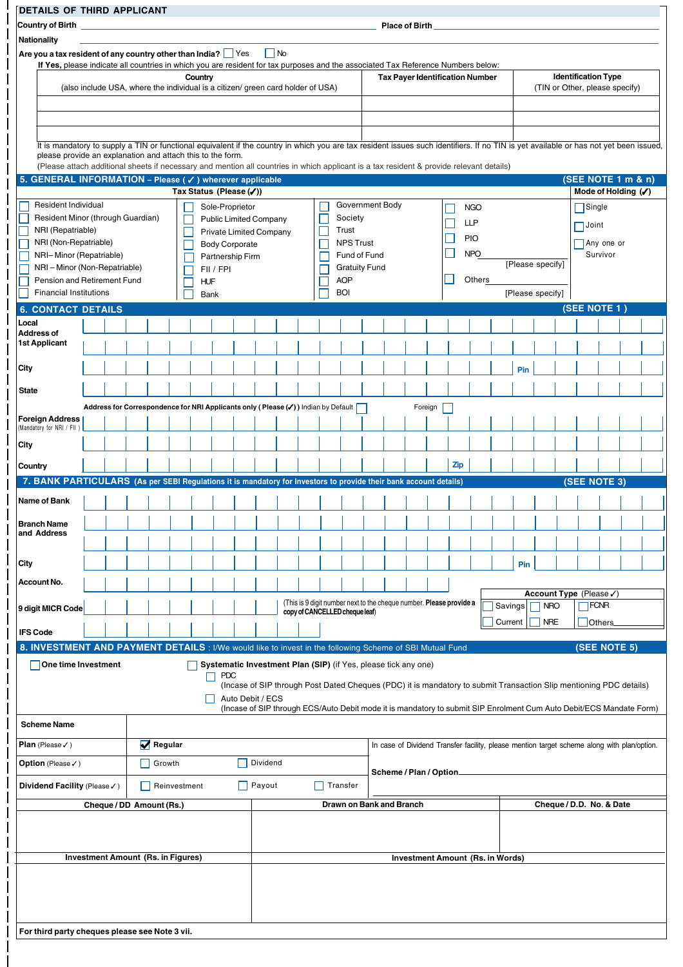| <b>DETAILS OF THIRD APPLICANT</b>                                                                                                                                                                      |  |                                                                                               |              |            |                                           |                                |                   |  |                                                                     |  |                       |                                         |            |            |                  |            |               |                                                                                                                     |  |  |
|--------------------------------------------------------------------------------------------------------------------------------------------------------------------------------------------------------|--|-----------------------------------------------------------------------------------------------|--------------|------------|-------------------------------------------|--------------------------------|-------------------|--|---------------------------------------------------------------------|--|-----------------------|-----------------------------------------|------------|------------|------------------|------------|---------------|---------------------------------------------------------------------------------------------------------------------|--|--|
| Country of Birth                                                                                                                                                                                       |  |                                                                                               |              |            |                                           |                                |                   |  |                                                                     |  | <b>Place of Birth</b> |                                         |            |            |                  |            |               |                                                                                                                     |  |  |
| Nationality                                                                                                                                                                                            |  |                                                                                               |              |            |                                           |                                |                   |  |                                                                     |  |                       |                                         |            |            |                  |            |               |                                                                                                                     |  |  |
| Are you a tax resident of any country other than India? $\Box$ Yes<br>If Yes, please indicate all countries in which you are resident for tax purposes and the associated Tax Reference Numbers below: |  |                                                                                               |              |            |                                           |                                | $\blacksquare$ No |  |                                                                     |  |                       |                                         |            |            |                  |            |               |                                                                                                                     |  |  |
|                                                                                                                                                                                                        |  | (also include USA, where the individual is a citizen/ green card holder of USA)               |              | Country    |                                           |                                |                   |  |                                                                     |  |                       | <b>Tax Payer Identification Number</b>  |            |            |                  |            |               | <b>Identification Type</b><br>(TIN or Other, please specify)                                                        |  |  |
|                                                                                                                                                                                                        |  |                                                                                               |              |            |                                           |                                |                   |  |                                                                     |  |                       |                                         |            |            |                  |            |               |                                                                                                                     |  |  |
|                                                                                                                                                                                                        |  |                                                                                               |              |            |                                           |                                |                   |  |                                                                     |  |                       |                                         |            |            |                  |            |               |                                                                                                                     |  |  |
|                                                                                                                                                                                                        |  |                                                                                               |              |            |                                           |                                |                   |  |                                                                     |  |                       |                                         |            |            |                  |            |               |                                                                                                                     |  |  |
| It is mandatory to supply a TIN or functional equivalent if the country in which you are tax resident issues such identifiers. If no TIN is yet available or has not yet been issued,                  |  |                                                                                               |              |            |                                           |                                |                   |  |                                                                     |  |                       |                                         |            |            |                  |            |               |                                                                                                                     |  |  |
| please provide an explanation and attach this to the form.<br>(Please attach additional sheets if necessary and mention all countries in which applicant is a tax resident & provide relevant details) |  |                                                                                               |              |            |                                           |                                |                   |  |                                                                     |  |                       |                                         |            |            |                  |            |               |                                                                                                                     |  |  |
| 5. GENERAL INFORMATION - Please (√) wherever applicable                                                                                                                                                |  |                                                                                               |              |            |                                           |                                |                   |  |                                                                     |  |                       |                                         |            |            |                  |            |               | (SEE NOTE 1 m & n)                                                                                                  |  |  |
|                                                                                                                                                                                                        |  |                                                                                               |              |            | Tax Status (Please (√))                   |                                |                   |  |                                                                     |  |                       |                                         |            |            |                  |            |               | Mode of Holding (V)                                                                                                 |  |  |
| Resident Individual                                                                                                                                                                                    |  |                                                                                               |              |            | Sole-Proprietor                           |                                |                   |  | Government Body                                                     |  |                       |                                         |            | <b>NGO</b> |                  |            | $\Box$ Single |                                                                                                                     |  |  |
| Resident Minor (through Guardian)                                                                                                                                                                      |  |                                                                                               |              |            |                                           | <b>Public Limited Company</b>  |                   |  | Society                                                             |  |                       |                                         |            | <b>LLP</b> |                  |            | $\Box$ Joint  |                                                                                                                     |  |  |
| NRI (Repatriable)<br>NRI (Non-Repatriable)                                                                                                                                                             |  |                                                                                               |              |            |                                           | <b>Private Limited Company</b> |                   |  | Trust<br><b>NPS Trust</b>                                           |  |                       |                                         |            | <b>PIO</b> |                  |            |               |                                                                                                                     |  |  |
| NRI-Minor (Repatriable)                                                                                                                                                                                |  |                                                                                               |              |            | <b>Body Corporate</b><br>Partnership Firm |                                |                   |  | Fund of Fund                                                        |  |                       |                                         |            | <b>NPO</b> |                  |            |               | Any one or<br>Survivor                                                                                              |  |  |
| NRI-Minor (Non-Repatriable)                                                                                                                                                                            |  |                                                                                               |              |            | FII / FPI                                 |                                |                   |  | <b>Gratuity Fund</b>                                                |  |                       |                                         |            |            | [Please specify] |            |               |                                                                                                                     |  |  |
| Pension and Retirement Fund                                                                                                                                                                            |  |                                                                                               |              | <b>HUF</b> |                                           |                                |                   |  | <b>AOP</b>                                                          |  |                       |                                         |            | Others     |                  |            |               |                                                                                                                     |  |  |
| <b>Financial Institutions</b>                                                                                                                                                                          |  |                                                                                               |              | Bank       |                                           |                                |                   |  | <b>BOI</b>                                                          |  |                       |                                         |            |            | [Please specify] |            |               |                                                                                                                     |  |  |
| <b>6. CONTACT DETAILS</b>                                                                                                                                                                              |  |                                                                                               |              |            |                                           |                                |                   |  |                                                                     |  |                       |                                         |            |            |                  |            |               | (SEE NOTE 1)                                                                                                        |  |  |
| Local<br><b>Address of</b>                                                                                                                                                                             |  |                                                                                               |              |            |                                           |                                |                   |  |                                                                     |  |                       |                                         |            |            |                  |            |               |                                                                                                                     |  |  |
| <b>1st Applicant</b>                                                                                                                                                                                   |  |                                                                                               |              |            |                                           |                                |                   |  |                                                                     |  |                       |                                         |            |            |                  |            |               |                                                                                                                     |  |  |
|                                                                                                                                                                                                        |  |                                                                                               |              |            |                                           |                                |                   |  |                                                                     |  |                       |                                         |            |            |                  |            |               |                                                                                                                     |  |  |
| <b>City</b>                                                                                                                                                                                            |  |                                                                                               |              |            |                                           |                                |                   |  |                                                                     |  |                       |                                         |            |            | Pin              |            |               |                                                                                                                     |  |  |
| <b>State</b>                                                                                                                                                                                           |  |                                                                                               |              |            |                                           |                                |                   |  |                                                                     |  |                       |                                         |            |            |                  |            |               |                                                                                                                     |  |  |
|                                                                                                                                                                                                        |  | Address for Correspondence for NRI Applicants only (Please $(\checkmark)$ ) Indian by Default |              |            |                                           |                                |                   |  |                                                                     |  |                       | Foreign                                 |            |            |                  |            |               |                                                                                                                     |  |  |
| <b>Foreign Address</b><br>(Mandatory for NRI / FII)                                                                                                                                                    |  |                                                                                               |              |            |                                           |                                |                   |  |                                                                     |  |                       |                                         |            |            |                  |            |               |                                                                                                                     |  |  |
| <b>City</b>                                                                                                                                                                                            |  |                                                                                               |              |            |                                           |                                |                   |  |                                                                     |  |                       |                                         |            |            |                  |            |               |                                                                                                                     |  |  |
|                                                                                                                                                                                                        |  |                                                                                               |              |            |                                           |                                |                   |  |                                                                     |  |                       |                                         | <b>Zip</b> |            |                  |            |               |                                                                                                                     |  |  |
| Country                                                                                                                                                                                                |  |                                                                                               |              |            |                                           |                                |                   |  |                                                                     |  |                       |                                         |            |            |                  |            |               |                                                                                                                     |  |  |
| 7. BANK PARTICULARS (As per SEBI Regulations it is mandatory for Investors to provide their bank account details)                                                                                      |  |                                                                                               |              |            |                                           |                                |                   |  |                                                                     |  |                       |                                         |            |            |                  |            |               | (SEE NOTE 3)                                                                                                        |  |  |
| Name of Bank                                                                                                                                                                                           |  |                                                                                               |              |            |                                           |                                |                   |  |                                                                     |  |                       |                                         |            |            |                  |            |               |                                                                                                                     |  |  |
| <b>Branch Name</b>                                                                                                                                                                                     |  |                                                                                               |              |            |                                           |                                |                   |  |                                                                     |  |                       |                                         |            |            |                  |            |               |                                                                                                                     |  |  |
| and Address                                                                                                                                                                                            |  |                                                                                               |              |            |                                           |                                |                   |  |                                                                     |  |                       |                                         |            |            |                  |            |               |                                                                                                                     |  |  |
| City                                                                                                                                                                                                   |  |                                                                                               |              |            |                                           |                                |                   |  |                                                                     |  |                       |                                         |            |            | Pin              |            |               |                                                                                                                     |  |  |
| Account No.                                                                                                                                                                                            |  |                                                                                               |              |            |                                           |                                |                   |  |                                                                     |  |                       |                                         |            |            |                  |            |               |                                                                                                                     |  |  |
|                                                                                                                                                                                                        |  |                                                                                               |              |            |                                           |                                |                   |  | (This is 9 digit number next to the cheque number. Please provide a |  |                       |                                         |            |            |                  |            |               | Account Type (Please√)                                                                                              |  |  |
| 9 digit MICR Code                                                                                                                                                                                      |  |                                                                                               |              |            |                                           |                                |                   |  | copy of CANCELLED cheque leaf)                                      |  |                       |                                         |            |            | Savings          | <b>NRO</b> |               | <b>FCNR</b>                                                                                                         |  |  |
| <b>IFS Code</b>                                                                                                                                                                                        |  |                                                                                               |              |            |                                           |                                |                   |  |                                                                     |  |                       |                                         |            |            | Current          | <b>NRE</b> |               | Others                                                                                                              |  |  |
| 8. INVESTMENT AND PAYMENT DETAILS : I/We would like to invest in the following Scheme of SBI Mutual Fund                                                                                               |  |                                                                                               |              |            |                                           |                                |                   |  |                                                                     |  |                       |                                         |            |            |                  |            |               | (SEE NOTE 5)                                                                                                        |  |  |
| One time Investment                                                                                                                                                                                    |  |                                                                                               |              |            |                                           |                                |                   |  | Systematic Investment Plan (SIP) (if Yes, please tick any one)      |  |                       |                                         |            |            |                  |            |               |                                                                                                                     |  |  |
|                                                                                                                                                                                                        |  |                                                                                               |              |            | <b>PDC</b>                                |                                |                   |  |                                                                     |  |                       |                                         |            |            |                  |            |               | (Incase of SIP through Post Dated Cheques (PDC) it is mandatory to submit Transaction Slip mentioning PDC details)  |  |  |
|                                                                                                                                                                                                        |  |                                                                                               |              |            |                                           | Auto Debit / ECS               |                   |  |                                                                     |  |                       |                                         |            |            |                  |            |               |                                                                                                                     |  |  |
|                                                                                                                                                                                                        |  |                                                                                               |              |            |                                           |                                |                   |  |                                                                     |  |                       |                                         |            |            |                  |            |               | (Incase of SIP through ECS/Auto Debit mode it is mandatory to submit SIP Enrolment Cum Auto Debit/ECS Mandate Form) |  |  |
| <b>Scheme Name</b>                                                                                                                                                                                     |  |                                                                                               |              |            |                                           |                                |                   |  |                                                                     |  |                       |                                         |            |            |                  |            |               |                                                                                                                     |  |  |
| Plan (Please $\checkmark$ )                                                                                                                                                                            |  | Regular                                                                                       |              |            |                                           |                                |                   |  |                                                                     |  |                       |                                         |            |            |                  |            |               | In case of Dividend Transfer facility, please mention target scheme along with plan/option.                         |  |  |
| <b>Option</b> (Please√)                                                                                                                                                                                |  | Growth                                                                                        |              |            |                                           | Dividend                       |                   |  |                                                                     |  |                       | Scheme / Plan / Option_                 |            |            |                  |            |               |                                                                                                                     |  |  |
| Dividend Facility (Please √)                                                                                                                                                                           |  |                                                                                               | Reinvestment |            |                                           | Payout                         |                   |  | Transfer                                                            |  |                       |                                         |            |            |                  |            |               |                                                                                                                     |  |  |
|                                                                                                                                                                                                        |  | Cheque / DD Amount (Rs.)                                                                      |              |            |                                           |                                |                   |  | Drawn on Bank and Branch                                            |  |                       |                                         |            |            |                  |            |               | Cheque / D.D. No. & Date                                                                                            |  |  |
|                                                                                                                                                                                                        |  |                                                                                               |              |            |                                           |                                |                   |  |                                                                     |  |                       |                                         |            |            |                  |            |               |                                                                                                                     |  |  |
|                                                                                                                                                                                                        |  |                                                                                               |              |            |                                           |                                |                   |  |                                                                     |  |                       |                                         |            |            |                  |            |               |                                                                                                                     |  |  |
|                                                                                                                                                                                                        |  | <b>Investment Amount (Rs. in Figures)</b>                                                     |              |            |                                           |                                |                   |  |                                                                     |  |                       | <b>Investment Amount (Rs. in Words)</b> |            |            |                  |            |               |                                                                                                                     |  |  |
|                                                                                                                                                                                                        |  |                                                                                               |              |            |                                           |                                |                   |  |                                                                     |  |                       |                                         |            |            |                  |            |               |                                                                                                                     |  |  |
|                                                                                                                                                                                                        |  |                                                                                               |              |            |                                           |                                |                   |  |                                                                     |  |                       |                                         |            |            |                  |            |               |                                                                                                                     |  |  |
|                                                                                                                                                                                                        |  |                                                                                               |              |            |                                           |                                |                   |  |                                                                     |  |                       |                                         |            |            |                  |            |               |                                                                                                                     |  |  |
| For third party cheques please see Note 3 vii.                                                                                                                                                         |  |                                                                                               |              |            |                                           |                                |                   |  |                                                                     |  |                       |                                         |            |            |                  |            |               |                                                                                                                     |  |  |
|                                                                                                                                                                                                        |  |                                                                                               |              |            |                                           |                                |                   |  |                                                                     |  |                       |                                         |            |            |                  |            |               |                                                                                                                     |  |  |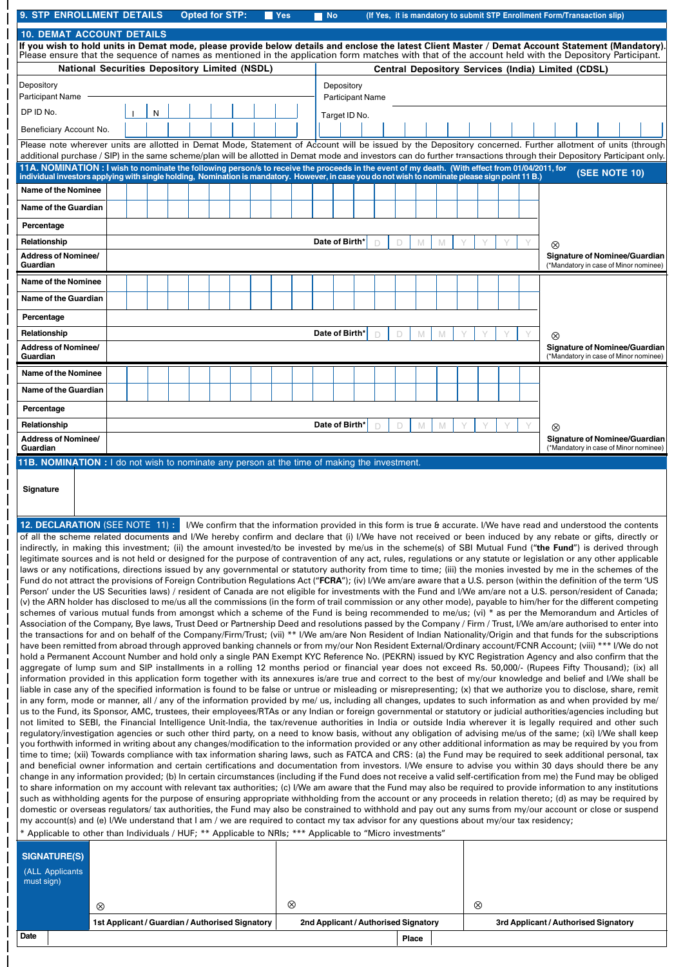| <b>9. STP ENROLLMENT DETAILS</b>                                                                                                                                                                                                                                                                                                          |                                                                                                                                                                                       |  |   |  | <b>Opted for STP:</b> |  |  |  | <b>Yes</b>                                                                                                             |  | <b>No</b>      |                                       |        |   |   |   |                |  | (If Yes, it is mandatory to submit STP Enrollment Form/Transaction slip) |               |  |                                                                               |
|-------------------------------------------------------------------------------------------------------------------------------------------------------------------------------------------------------------------------------------------------------------------------------------------------------------------------------------------|---------------------------------------------------------------------------------------------------------------------------------------------------------------------------------------|--|---|--|-----------------------|--|--|--|------------------------------------------------------------------------------------------------------------------------|--|----------------|---------------------------------------|--------|---|---|---|----------------|--|--------------------------------------------------------------------------|---------------|--|-------------------------------------------------------------------------------|
|                                                                                                                                                                                                                                                                                                                                           | <b>10. DEMAT ACCOUNT DETAILS</b><br>If you wish to hold units in Demat mode, please provide below details and enclose the latest Client Master / Demat Account Statement (Mandatory). |  |   |  |                       |  |  |  |                                                                                                                        |  |                |                                       |        |   |   |   |                |  |                                                                          |               |  |                                                                               |
| Please ensure that the sequence of names as mentioned in the application form matches with that of the account held with the Depository Participant.                                                                                                                                                                                      |                                                                                                                                                                                       |  |   |  |                       |  |  |  |                                                                                                                        |  |                |                                       |        |   |   |   |                |  |                                                                          |               |  |                                                                               |
| <b>National Securities Depository Limited (NSDL)</b>                                                                                                                                                                                                                                                                                      |                                                                                                                                                                                       |  |   |  |                       |  |  |  |                                                                                                                        |  |                |                                       |        |   |   |   |                |  | Central Depository Services (India) Limited (CDSL)                       |               |  |                                                                               |
| Depository<br><b>Participant Name</b>                                                                                                                                                                                                                                                                                                     |                                                                                                                                                                                       |  |   |  |                       |  |  |  |                                                                                                                        |  |                | Depository<br><b>Participant Name</b> |        |   |   |   |                |  |                                                                          |               |  |                                                                               |
| DP ID No.                                                                                                                                                                                                                                                                                                                                 |                                                                                                                                                                                       |  | N |  |                       |  |  |  |                                                                                                                        |  |                | Target ID No.                         |        |   |   |   |                |  |                                                                          |               |  |                                                                               |
| Beneficiary Account No.                                                                                                                                                                                                                                                                                                                   |                                                                                                                                                                                       |  |   |  |                       |  |  |  |                                                                                                                        |  |                |                                       |        |   |   |   |                |  |                                                                          |               |  |                                                                               |
| Please note wherever units are allotted in Demat Mode, Statement of Account will be issued by the Depository concerned. Further allotment of units (through<br>additional purchase / SIP) in the same scheme/plan will be allotted in Demat mode and investors can do further transactions through their Depository Participant only.     |                                                                                                                                                                                       |  |   |  |                       |  |  |  |                                                                                                                        |  |                |                                       |        |   |   |   |                |  |                                                                          |               |  |                                                                               |
| 11A. NOMINATION: I wish to nominate the following person/s to receive the proceeds in the event of my death. (With effect from 01/04/2011, for                                                                                                                                                                                            |                                                                                                                                                                                       |  |   |  |                       |  |  |  |                                                                                                                        |  |                |                                       |        |   |   |   |                |  |                                                                          | (SEE NOTE 10) |  |                                                                               |
| individual investors applying with single holding, Nomination is mandatory. However, in case you do not wish to nominate please sign point 11 B.)<br><b>Name of the Nominee</b>                                                                                                                                                           |                                                                                                                                                                                       |  |   |  |                       |  |  |  |                                                                                                                        |  |                |                                       |        |   |   |   |                |  |                                                                          |               |  |                                                                               |
| Name of the Guardian                                                                                                                                                                                                                                                                                                                      |                                                                                                                                                                                       |  |   |  |                       |  |  |  |                                                                                                                        |  |                |                                       |        |   |   |   |                |  |                                                                          |               |  |                                                                               |
| Percentage                                                                                                                                                                                                                                                                                                                                |                                                                                                                                                                                       |  |   |  |                       |  |  |  |                                                                                                                        |  |                |                                       |        |   |   |   |                |  |                                                                          |               |  |                                                                               |
| Relationship                                                                                                                                                                                                                                                                                                                              |                                                                                                                                                                                       |  |   |  |                       |  |  |  |                                                                                                                        |  | Date of Birth* |                                       | D      | D | M | M |                |  | ⊗                                                                        |               |  |                                                                               |
| <b>Address of Nominee/</b><br>Guardian                                                                                                                                                                                                                                                                                                    |                                                                                                                                                                                       |  |   |  |                       |  |  |  |                                                                                                                        |  |                |                                       |        |   |   |   |                |  |                                                                          |               |  | <b>Signature of Nominee/Guardian</b><br>(*Mandatory in case of Minor nominee) |
| <b>Name of the Nominee</b>                                                                                                                                                                                                                                                                                                                |                                                                                                                                                                                       |  |   |  |                       |  |  |  |                                                                                                                        |  |                |                                       |        |   |   |   |                |  |                                                                          |               |  |                                                                               |
| <b>Name of the Guardian</b>                                                                                                                                                                                                                                                                                                               |                                                                                                                                                                                       |  |   |  |                       |  |  |  |                                                                                                                        |  |                |                                       |        |   |   |   |                |  |                                                                          |               |  |                                                                               |
| Percentage                                                                                                                                                                                                                                                                                                                                |                                                                                                                                                                                       |  |   |  |                       |  |  |  |                                                                                                                        |  |                |                                       |        |   |   |   |                |  |                                                                          |               |  |                                                                               |
| Relationship                                                                                                                                                                                                                                                                                                                              |                                                                                                                                                                                       |  |   |  |                       |  |  |  |                                                                                                                        |  | Date of Birth' |                                       | $\Box$ | D | M | M |                |  | ⊗                                                                        |               |  |                                                                               |
| <b>Address of Nominee/</b><br>Guardian                                                                                                                                                                                                                                                                                                    |                                                                                                                                                                                       |  |   |  |                       |  |  |  |                                                                                                                        |  |                |                                       |        |   |   |   |                |  |                                                                          |               |  | <b>Signature of Nominee/Guardian</b><br>(*Mandatory in case of Minor nominee) |
| <b>Name of the Nominee</b>                                                                                                                                                                                                                                                                                                                |                                                                                                                                                                                       |  |   |  |                       |  |  |  |                                                                                                                        |  |                |                                       |        |   |   |   |                |  |                                                                          |               |  |                                                                               |
| Name of the Guardian                                                                                                                                                                                                                                                                                                                      |                                                                                                                                                                                       |  |   |  |                       |  |  |  |                                                                                                                        |  |                |                                       |        |   |   |   |                |  |                                                                          |               |  |                                                                               |
| Percentage                                                                                                                                                                                                                                                                                                                                |                                                                                                                                                                                       |  |   |  |                       |  |  |  |                                                                                                                        |  |                |                                       |        |   |   |   |                |  |                                                                          |               |  |                                                                               |
| Relationship                                                                                                                                                                                                                                                                                                                              |                                                                                                                                                                                       |  |   |  |                       |  |  |  |                                                                                                                        |  | Date of Birth* |                                       | $\Box$ | D | M |   |                |  |                                                                          |               |  |                                                                               |
| <b>Address of Nominee/</b><br>Guardian                                                                                                                                                                                                                                                                                                    |                                                                                                                                                                                       |  |   |  |                       |  |  |  |                                                                                                                        |  |                |                                       |        |   |   |   |                |  |                                                                          |               |  | Signature of Nominee/Guardian<br>(*Mandatory in case of Minor nominee)        |
| 11B. NOMINATION : I do not wish to nominate any person at the time of making the investment.                                                                                                                                                                                                                                              |                                                                                                                                                                                       |  |   |  |                       |  |  |  |                                                                                                                        |  |                |                                       |        |   |   |   |                |  |                                                                          |               |  |                                                                               |
|                                                                                                                                                                                                                                                                                                                                           |                                                                                                                                                                                       |  |   |  |                       |  |  |  |                                                                                                                        |  |                |                                       |        |   |   |   |                |  |                                                                          |               |  |                                                                               |
|                                                                                                                                                                                                                                                                                                                                           |                                                                                                                                                                                       |  |   |  |                       |  |  |  |                                                                                                                        |  |                |                                       |        |   |   |   |                |  |                                                                          |               |  |                                                                               |
| Signature                                                                                                                                                                                                                                                                                                                                 |                                                                                                                                                                                       |  |   |  |                       |  |  |  |                                                                                                                        |  |                |                                       |        |   |   |   |                |  |                                                                          |               |  |                                                                               |
| <b>12. DECLARATION (SEE NOTE 11):</b>                                                                                                                                                                                                                                                                                                     |                                                                                                                                                                                       |  |   |  |                       |  |  |  | I/We confirm that the information provided in this form is true & accurate. I/We have read and understood the contents |  |                |                                       |        |   |   |   |                |  |                                                                          |               |  |                                                                               |
| of all the scheme related documents and I/We hereby confirm and declare that (i) I/We have not received or been induced by any rebate or gifts, directly or                                                                                                                                                                               |                                                                                                                                                                                       |  |   |  |                       |  |  |  |                                                                                                                        |  |                |                                       |        |   |   |   |                |  |                                                                          |               |  |                                                                               |
| indirectly, in making this investment; (ii) the amount invested/to be invested by me/us in the scheme(s) of SBI Mutual Fund ("the Fund") is derived through<br>legitimate sources and is not held or designed for the purpose of contravention of any act, rules, regulations or any statute or legislation or any other applicable       |                                                                                                                                                                                       |  |   |  |                       |  |  |  |                                                                                                                        |  |                |                                       |        |   |   |   |                |  |                                                                          |               |  |                                                                               |
| laws or any notifications, directions issued by any governmental or statutory authority from time to time; (iii) the monies invested by me in the schemes of the                                                                                                                                                                          |                                                                                                                                                                                       |  |   |  |                       |  |  |  |                                                                                                                        |  |                |                                       |        |   |   |   |                |  |                                                                          |               |  |                                                                               |
| Fund do not attract the provisions of Foreign Contribution Regulations Act ("FCRA"); (iv) I/We am/are aware that a U.S. person (within the definition of the term 'US<br>Person' under the US Securities laws) / resident of Canada are not eligible for investments with the Fund and I/We am/are not a U.S. person/resident of Canada;  |                                                                                                                                                                                       |  |   |  |                       |  |  |  |                                                                                                                        |  |                |                                       |        |   |   |   |                |  |                                                                          |               |  |                                                                               |
| (v) the ARN holder has disclosed to me/us all the commissions (in the form of trail commission or any other mode), payable to him/her for the different competing<br>schemes of various mutual funds from amongst which a scheme of the Fund is being recommended to me/us; (vi) * as per the Memorandum and Articles of                  |                                                                                                                                                                                       |  |   |  |                       |  |  |  |                                                                                                                        |  |                |                                       |        |   |   |   |                |  |                                                                          |               |  |                                                                               |
| Association of the Company, Bye laws, Trust Deed or Partnership Deed and resolutions passed by the Company / Firm / Trust, I/We am/are authorised to enter into                                                                                                                                                                           |                                                                                                                                                                                       |  |   |  |                       |  |  |  |                                                                                                                        |  |                |                                       |        |   |   |   |                |  |                                                                          |               |  |                                                                               |
| the transactions for and on behalf of the Company/Firm/Trust; (vii) ** I/We am/are Non Resident of Indian Nationality/Origin and that funds for the subscriptions<br>have been remitted from abroad through approved banking channels or from my/our Non Resident External/Ordinary account/FCNR Account; (viii) *** I/We do not          |                                                                                                                                                                                       |  |   |  |                       |  |  |  |                                                                                                                        |  |                |                                       |        |   |   |   |                |  |                                                                          |               |  |                                                                               |
| hold a Permanent Account Number and hold only a single PAN Exempt KYC Reference No. (PEKRN) issued by KYC Registration Agency and also confirm that the<br>aggregate of lump sum and SIP installments in a rolling 12 months period or financial year does not exceed Rs. 50,000/- (Rupees Fifty Thousand); (ix) all                      |                                                                                                                                                                                       |  |   |  |                       |  |  |  |                                                                                                                        |  |                |                                       |        |   |   |   |                |  |                                                                          |               |  |                                                                               |
| information provided in this application form together with its annexures is/are true and correct to the best of my/our knowledge and belief and I/We shall be                                                                                                                                                                            |                                                                                                                                                                                       |  |   |  |                       |  |  |  |                                                                                                                        |  |                |                                       |        |   |   |   |                |  |                                                                          |               |  |                                                                               |
| liable in case any of the specified information is found to be false or untrue or misleading or misrepresenting; (x) that we authorize you to disclose, share, remit<br>in any form, mode or manner, all / any of the information provided by me/ us, including all changes, updates to such information as and when provided by me/      |                                                                                                                                                                                       |  |   |  |                       |  |  |  |                                                                                                                        |  |                |                                       |        |   |   |   |                |  |                                                                          |               |  |                                                                               |
| us to the Fund, its Sponsor, AMC, trustees, their employees/RTAs or any Indian or foreign governmental or statutory or judicial authorities/agencies including but<br>not limited to SEBI, the Financial Intelligence Unit-India, the tax/revenue authorities in India or outside India wherever it is legally required and other such    |                                                                                                                                                                                       |  |   |  |                       |  |  |  |                                                                                                                        |  |                |                                       |        |   |   |   |                |  |                                                                          |               |  |                                                                               |
| regulatory/investigation agencies or such other third party, on a need to know basis, without any obligation of advising me/us of the same; (xi) I/We shall keep                                                                                                                                                                          |                                                                                                                                                                                       |  |   |  |                       |  |  |  |                                                                                                                        |  |                |                                       |        |   |   |   |                |  |                                                                          |               |  |                                                                               |
| you forthwith informed in writing about any changes/modification to the information provided or any other additional information as may be required by you from<br>time to time; (xii) Towards compliance with tax information sharing laws, such as FATCA and CRS: (a) the Fund may be required to seek additional personal, tax         |                                                                                                                                                                                       |  |   |  |                       |  |  |  |                                                                                                                        |  |                |                                       |        |   |   |   |                |  |                                                                          |               |  |                                                                               |
| and beneficial owner information and certain certifications and documentation from investors. I/We ensure to advise you within 30 days should there be any                                                                                                                                                                                |                                                                                                                                                                                       |  |   |  |                       |  |  |  |                                                                                                                        |  |                |                                       |        |   |   |   |                |  |                                                                          |               |  |                                                                               |
| change in any information provided; (b) In certain circumstances (including if the Fund does not receive a valid self-certification from me) the Fund may be obliged<br>to share information on my account with relevant tax authorities; (c) I/We am aware that the Fund may also be required to provide information to any institutions |                                                                                                                                                                                       |  |   |  |                       |  |  |  |                                                                                                                        |  |                |                                       |        |   |   |   |                |  |                                                                          |               |  |                                                                               |
| such as withholding agents for the purpose of ensuring appropriate withholding from the account or any proceeds in relation thereto; (d) as may be required by<br>domestic or overseas regulators/ tax authorities, the Fund may also be constrained to withhold and pay out any sums from my/our account or close or suspend             |                                                                                                                                                                                       |  |   |  |                       |  |  |  |                                                                                                                        |  |                |                                       |        |   |   |   |                |  |                                                                          |               |  |                                                                               |
| my account(s) and (e) I/We understand that I am / we are required to contact my tax advisor for any questions about my/our tax residency;                                                                                                                                                                                                 |                                                                                                                                                                                       |  |   |  |                       |  |  |  |                                                                                                                        |  |                |                                       |        |   |   |   |                |  |                                                                          |               |  |                                                                               |
| * Applicable to other than Individuals / HUF; ** Applicable to NRIs; *** Applicable to "Micro investments"                                                                                                                                                                                                                                |                                                                                                                                                                                       |  |   |  |                       |  |  |  |                                                                                                                        |  |                |                                       |        |   |   |   |                |  |                                                                          |               |  |                                                                               |
| <b>SIGNATURE(S)</b>                                                                                                                                                                                                                                                                                                                       |                                                                                                                                                                                       |  |   |  |                       |  |  |  |                                                                                                                        |  |                |                                       |        |   |   |   |                |  |                                                                          |               |  |                                                                               |
| (ALL Applicants<br>must sign)                                                                                                                                                                                                                                                                                                             |                                                                                                                                                                                       |  |   |  |                       |  |  |  |                                                                                                                        |  |                |                                       |        |   |   |   |                |  |                                                                          |               |  |                                                                               |
|                                                                                                                                                                                                                                                                                                                                           | ⊗                                                                                                                                                                                     |  |   |  |                       |  |  |  | $^{\circledR}$                                                                                                         |  |                |                                       |        |   |   |   | $^{\circledR}$ |  |                                                                          |               |  |                                                                               |

| Date | Place |
|------|-------|
|      |       |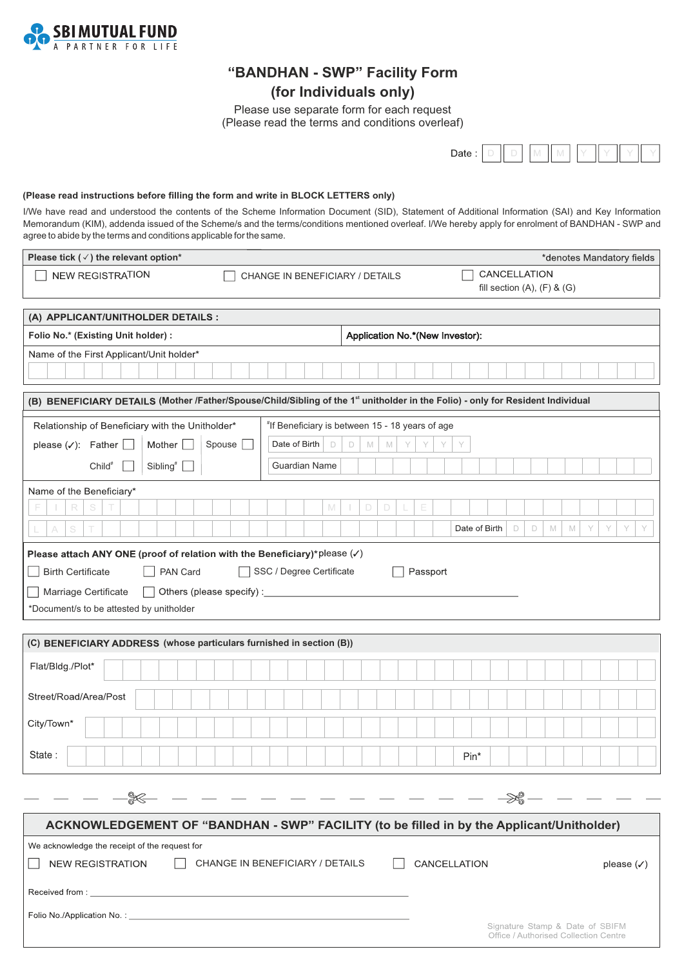

## **"BANDHAN - SWP" Facility Form (for Individuals only)**

Please use separate form for each request (Please read the terms and conditions overleaf)

> Date:  $\mathbb N$

### (Please read instructions before filling the form and write in BLOCK LETTERS only)

I/We have read and understood the contents of the Scheme Information Document (SID), Statement of Additional Information (SAI) and Key Information Memorandum (KIM), addenda issued of the Scheme/s and the terms/conditions mentioned overleaf. I/We hereby apply for enrolment of BANDHAN - SWP and agree to abide by the terms and conditions applicable for the same.

| Please tick ( $\checkmark$ ) the relevant option*                                                                               | *denotes Mandatory fields                                                |  |  |  |  |  |  |  |  |  |  |
|---------------------------------------------------------------------------------------------------------------------------------|--------------------------------------------------------------------------|--|--|--|--|--|--|--|--|--|--|
| <b>NEW REGISTRATION</b><br>CHANGE IN BENEFICIARY / DETAILS                                                                      | CANCELLATION                                                             |  |  |  |  |  |  |  |  |  |  |
|                                                                                                                                 | fill section $(A)$ , $(F)$ & $(G)$                                       |  |  |  |  |  |  |  |  |  |  |
| (A) APPLICANT/UNITHOLDER DETAILS :                                                                                              |                                                                          |  |  |  |  |  |  |  |  |  |  |
| Application No.*(New Investor):<br>Folio No.* (Existing Unit holder) :                                                          |                                                                          |  |  |  |  |  |  |  |  |  |  |
| Name of the First Applicant/Unit holder*                                                                                        |                                                                          |  |  |  |  |  |  |  |  |  |  |
|                                                                                                                                 |                                                                          |  |  |  |  |  |  |  |  |  |  |
| (B) BENEFICIARY DETAILS (Mother /Father/Spouse/Child/Sibling of the 1st unitholder in the Folio) - only for Resident Individual |                                                                          |  |  |  |  |  |  |  |  |  |  |
| Relationship of Beneficiary with the Unitholder*<br>"If Beneficiary is between 15 - 18 years of age                             |                                                                          |  |  |  |  |  |  |  |  |  |  |
| Date of Birth<br>Mother [<br>D<br>please $(\checkmark)$ : Father $\lfloor$<br>Spouse<br>$\Box$<br>$\mathbb M$                   | M<br>Y<br>Y<br>Y<br>Y                                                    |  |  |  |  |  |  |  |  |  |  |
| Sibling <sup>#</sup><br>Guardian Name<br>$Child^*$                                                                              |                                                                          |  |  |  |  |  |  |  |  |  |  |
| Name of the Beneficiary*                                                                                                        |                                                                          |  |  |  |  |  |  |  |  |  |  |
| S<br>R<br>M<br>D<br>D                                                                                                           | Е                                                                        |  |  |  |  |  |  |  |  |  |  |
| S                                                                                                                               | Date of Birth<br>$\Box$<br>$\Box$<br>M<br>M<br>Y<br>Y<br>Y<br>Y          |  |  |  |  |  |  |  |  |  |  |
| Please attach ANY ONE (proof of relation with the Beneficiary)*please $(\checkmark)$                                            |                                                                          |  |  |  |  |  |  |  |  |  |  |
| <b>Birth Certificate</b><br>PAN Card<br>SSC / Degree Certificate                                                                | Passport                                                                 |  |  |  |  |  |  |  |  |  |  |
| Others (please specify) : _____________<br>Marriage Certificate<br>$\perp$                                                      |                                                                          |  |  |  |  |  |  |  |  |  |  |
| *Document/s to be attested by unitholder                                                                                        |                                                                          |  |  |  |  |  |  |  |  |  |  |
|                                                                                                                                 |                                                                          |  |  |  |  |  |  |  |  |  |  |
| (C) BENEFICIARY ADDRESS (whose particulars furnished in section (B))                                                            |                                                                          |  |  |  |  |  |  |  |  |  |  |
| Flat/Bldg./Plot*                                                                                                                |                                                                          |  |  |  |  |  |  |  |  |  |  |
| Street/Road/Area/Post                                                                                                           |                                                                          |  |  |  |  |  |  |  |  |  |  |
| City/Town*                                                                                                                      |                                                                          |  |  |  |  |  |  |  |  |  |  |
| State:                                                                                                                          | Pin*                                                                     |  |  |  |  |  |  |  |  |  |  |
|                                                                                                                                 |                                                                          |  |  |  |  |  |  |  |  |  |  |
| $\cdot$ - - - - - - - - -                                                                                                       | — ≫\$ –                                                                  |  |  |  |  |  |  |  |  |  |  |
|                                                                                                                                 |                                                                          |  |  |  |  |  |  |  |  |  |  |
| ACKNOWLEDGEMENT OF "BANDHAN - SWP" FACILITY (to be filled in by the Applicant/Unitholder)                                       |                                                                          |  |  |  |  |  |  |  |  |  |  |
| We acknowledge the receipt of the request for                                                                                   |                                                                          |  |  |  |  |  |  |  |  |  |  |
| CHANGE IN BENEFICIARY / DETAILS<br><b>NEW REGISTRATION</b>                                                                      | CANCELLATION<br>please $(\checkmark)$                                    |  |  |  |  |  |  |  |  |  |  |
|                                                                                                                                 |                                                                          |  |  |  |  |  |  |  |  |  |  |
|                                                                                                                                 |                                                                          |  |  |  |  |  |  |  |  |  |  |
|                                                                                                                                 | Signature Stamp & Date of SBIFM<br>Office / Authorised Collection Centre |  |  |  |  |  |  |  |  |  |  |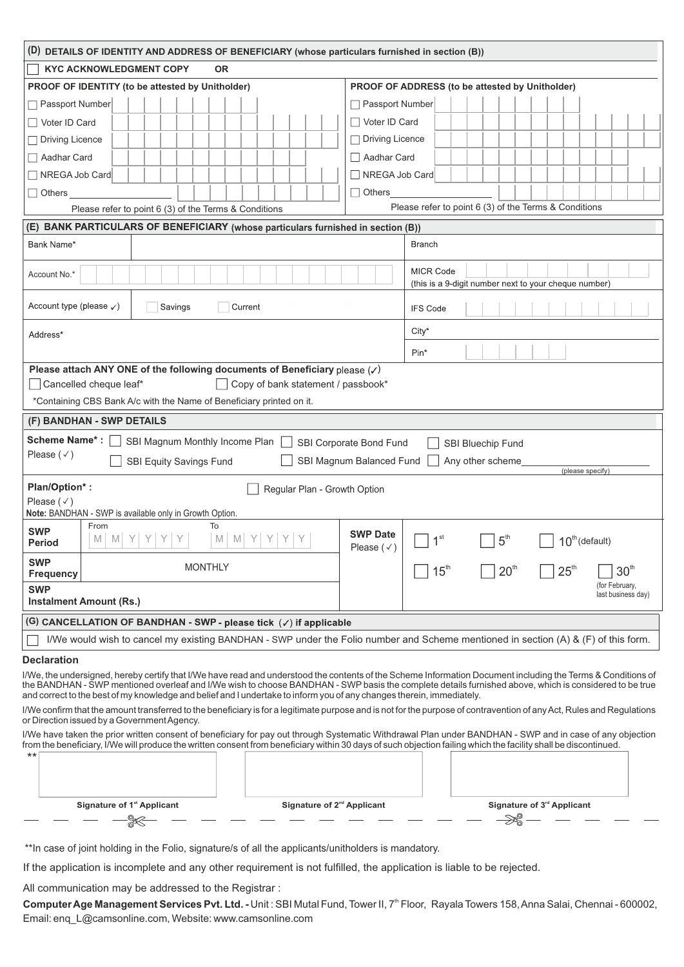|                                               |                                                                      | (D) DETAILS OF IDENTITY AND ADDRESS OF BENEFICIARY (whose particulars furnished in section (B))                       |                                          |                                                                                                                                                                                                                                                                                                                       |
|-----------------------------------------------|----------------------------------------------------------------------|-----------------------------------------------------------------------------------------------------------------------|------------------------------------------|-----------------------------------------------------------------------------------------------------------------------------------------------------------------------------------------------------------------------------------------------------------------------------------------------------------------------|
| <b>KYC ACKNOWLEDGMENT COPY</b>                | <b>OR</b>                                                            |                                                                                                                       |                                          |                                                                                                                                                                                                                                                                                                                       |
|                                               | PROOF OF IDENTITY (to be attested by Unitholder)                     |                                                                                                                       |                                          | PROOF OF ADDRESS (to be attested by Unitholder)                                                                                                                                                                                                                                                                       |
| Passport Number                               |                                                                      |                                                                                                                       | Passport Number                          |                                                                                                                                                                                                                                                                                                                       |
| Voter ID Card                                 |                                                                      |                                                                                                                       | Voter ID Card                            |                                                                                                                                                                                                                                                                                                                       |
| Driving Licence                               |                                                                      |                                                                                                                       | <b>Driving Licence</b>                   |                                                                                                                                                                                                                                                                                                                       |
| Aadhar Card                                   |                                                                      |                                                                                                                       | Aadhar Card                              |                                                                                                                                                                                                                                                                                                                       |
| NREGA Job Card                                |                                                                      |                                                                                                                       | NREGA Job Card                           |                                                                                                                                                                                                                                                                                                                       |
| $\Box$ Others                                 |                                                                      |                                                                                                                       | $\Box$ Others                            |                                                                                                                                                                                                                                                                                                                       |
|                                               | Please refer to point 6 (3) of the Terms & Conditions                |                                                                                                                       |                                          | Please refer to point 6 (3) of the Terms & Conditions                                                                                                                                                                                                                                                                 |
|                                               |                                                                      | (E) BANK PARTICULARS OF BENEFICIARY (whose particulars furnished in section (B))                                      |                                          |                                                                                                                                                                                                                                                                                                                       |
| Bank Name*                                    |                                                                      |                                                                                                                       |                                          | <b>Branch</b>                                                                                                                                                                                                                                                                                                         |
| Account No.*                                  |                                                                      |                                                                                                                       |                                          | <b>MICR Code</b><br>(this is a 9-digit number next to your cheque number)                                                                                                                                                                                                                                             |
| Account type (please $\checkmark$ )           | Savings                                                              | Current                                                                                                               |                                          | <b>IFS Code</b>                                                                                                                                                                                                                                                                                                       |
| Address*                                      |                                                                      |                                                                                                                       |                                          | $City*$                                                                                                                                                                                                                                                                                                               |
|                                               |                                                                      |                                                                                                                       |                                          | Pin*                                                                                                                                                                                                                                                                                                                  |
|                                               |                                                                      | Please attach ANY ONE of the following documents of Beneficiary please $(\checkmark)$                                 |                                          |                                                                                                                                                                                                                                                                                                                       |
| Cancelled cheque leaf*                        |                                                                      | Copy of bank statement / passbook*                                                                                    |                                          |                                                                                                                                                                                                                                                                                                                       |
|                                               | *Containing CBS Bank A/c with the Name of Beneficiary printed on it. |                                                                                                                       |                                          |                                                                                                                                                                                                                                                                                                                       |
| (F) BANDHAN - SWP DETAILS                     |                                                                      |                                                                                                                       |                                          |                                                                                                                                                                                                                                                                                                                       |
| <b>Scheme Name*:</b>                          | SBI Magnum Monthly Income Plan                                       |                                                                                                                       | SBI Corporate Bond Fund                  | SBI Bluechip Fund                                                                                                                                                                                                                                                                                                     |
| Please $(\checkmark)$                         | SBI Equity Savings Fund                                              |                                                                                                                       | SBI Magnum Balanced Fund                 | Any other scheme                                                                                                                                                                                                                                                                                                      |
| Plan/Option*:                                 |                                                                      |                                                                                                                       |                                          | (please specify)                                                                                                                                                                                                                                                                                                      |
| Please $(\checkmark)$                         |                                                                      | Regular Plan - Growth Option                                                                                          |                                          |                                                                                                                                                                                                                                                                                                                       |
|                                               | Note: BANDHAN - SWP is available only in Growth Option.              |                                                                                                                       |                                          |                                                                                                                                                                                                                                                                                                                       |
| From<br><b>SWP</b><br>M<br>M<br><b>Period</b> | To<br>M                                                              | M                                                                                                                     | <b>SWP Date</b><br>Please $(\checkmark)$ | 1 <sup>st</sup><br>5 <sup>th</sup><br>$10th$ (default)                                                                                                                                                                                                                                                                |
| <b>SWP</b>                                    | <b>MONTHLY</b>                                                       |                                                                                                                       |                                          | 15 <sup>th</sup><br>25 <sup>th</sup><br>30 <sup>th</sup><br>20 <sup>th</sup>                                                                                                                                                                                                                                          |
| <b>Frequency</b><br><b>SWP</b>                |                                                                      |                                                                                                                       |                                          | (for February,                                                                                                                                                                                                                                                                                                        |
| <b>Instalment Amount (Rs.)</b>                |                                                                      |                                                                                                                       |                                          | last business day)                                                                                                                                                                                                                                                                                                    |
|                                               |                                                                      | (G) CANCELLATION OF BANDHAN - SWP - please tick $(\checkmark)$ if applicable                                          |                                          |                                                                                                                                                                                                                                                                                                                       |
|                                               |                                                                      |                                                                                                                       |                                          | I/We would wish to cancel my existing BANDHAN - SWP under the Folio number and Scheme mentioned in section (A) & (F) of this form.                                                                                                                                                                                    |
| <b>Declaration</b>                            |                                                                      |                                                                                                                       |                                          |                                                                                                                                                                                                                                                                                                                       |
|                                               |                                                                      | and correct to the best of my knowledge and belief and I undertake to inform you of any changes therein, immediately. |                                          | I/We, the undersigned, hereby certify that I/We have read and understood the contents of the Scheme Information Document including the Terms & Conditions of<br>the BANDHAN - SWP mentioned overleaf and I/We wish to choose BANDHAN - SWP basis the complete details furnished above, which is considered to be true |
| or Direction issued by a Government Agency.   |                                                                      |                                                                                                                       |                                          | I/We confirm that the amount transferred to the beneficiary is for a legitimate purpose and is not for the purpose of contravention of any Act, Rules and Regulations                                                                                                                                                 |
|                                               |                                                                      |                                                                                                                       |                                          | I/We have taken the prior written consent of beneficiary for pay out through Systematic Withdrawal Plan under BANDHAN - SWP and in case of any objection                                                                                                                                                              |
| $***$                                         |                                                                      |                                                                                                                       |                                          | from the beneficiary, I/We will produce the written consent from beneficiary within 30 days of such objection failing which the facility shall be discontinued.                                                                                                                                                       |
|                                               |                                                                      |                                                                                                                       |                                          |                                                                                                                                                                                                                                                                                                                       |
|                                               |                                                                      |                                                                                                                       |                                          |                                                                                                                                                                                                                                                                                                                       |
|                                               | Signature of 1 <sup>st</sup> Applicant                               | Signature of 2 <sup>nd</sup> Applicant                                                                                |                                          | Signature of 3 <sup>rd</sup> Applicant                                                                                                                                                                                                                                                                                |
|                                               |                                                                      |                                                                                                                       |                                          |                                                                                                                                                                                                                                                                                                                       |
|                                               |                                                                      |                                                                                                                       |                                          |                                                                                                                                                                                                                                                                                                                       |

\*\*In case of joint holding in the Folio, signature/s of all the applicants/unitholders is mandatory.

If the application is incomplete and any other requirement is not fulfilled, the application is liable to be rejected.

All communication may be addressed to the Registrar :

Computer Age Management Services Pvt. Ltd. - Unit: SBI Mutal Fund, Tower II, 7<sup>th</sup> Floor, Rayala Towers 158, Anna Salai, Chennai - 600002, Email: enq\_L@camsonline.com, Website: www.camsonline.com